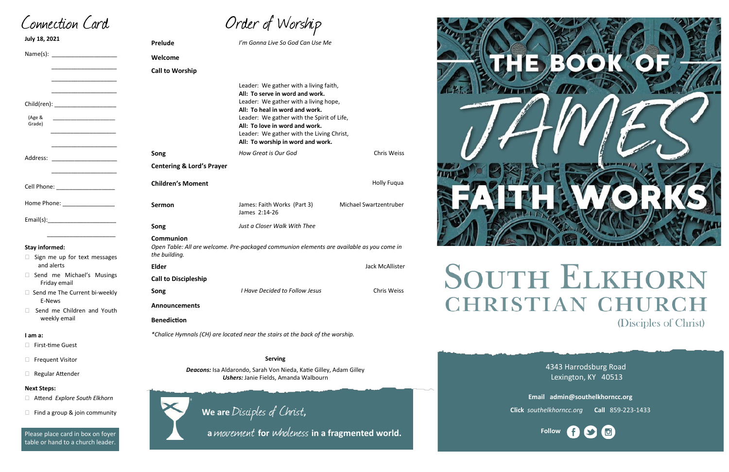| Order of Worship |  |
|------------------|--|
|------------------|--|

4343 Harrodsburg Road Lexington, KY 40513



**Email admin@southelkhorncc.org**

**Click** *southelkhorncc.org* **Call** 859-223-1433

**Prelude** *I'm Gonna Live So God Can Use Me*  **Welcome Call to Worship** Leader: We gather with a living faith, **All: To serve in word and work.** Leader: We gather with a living hope, **All: To heal in word and work.** Leader: We gather with the Spirit of Life, **All: To love in word and work.** Leader: We gather with the Living Christ, **All: To worship in word and work. Song** *How Great is Our God* **Chris Weiss Chris Weiss Centering & Lord's Prayer Children's Moment** Holly Fuqua **Sermon Sermon** James: Faith Works (Part 3) Michael Swartzentruber James 2:14-26 **Song** *Just a Closer Walk With Thee*  **Communion**  *Open Table: All are welcome. Pre-packaged communion elements are available as you come in the building.* **Elder** Jack McAllister **Call to Discipleship Song** *I Have Decided to Follow Jesus* **Chris Weiss Announcements Benediction** *\*Chalice Hymnals (CH) are located near the stairs at the back of the worship.* **July 18, 2021** Name(s): \_\_\_\_\_\_\_\_\_\_\_\_\_\_\_\_\_\_\_\_ \_\_\_\_\_\_\_\_\_\_\_\_\_\_\_\_\_\_\_\_ \_\_\_\_\_\_\_\_\_\_\_\_\_\_\_\_\_\_\_\_ Child(ren):  $\overline{\phantom{a}}$  , and the set of the set of the set of the set of the set of the set of the set of the set of the set of the set of the set of the set of the set of the set of the set of the set of the set of the set of the s  $\frac{1}{\sqrt{2}}$  ,  $\frac{1}{\sqrt{2}}$  ,  $\frac{1}{\sqrt{2}}$  ,  $\frac{1}{\sqrt{2}}$  ,  $\frac{1}{\sqrt{2}}$  ,  $\frac{1}{\sqrt{2}}$  ,  $\frac{1}{\sqrt{2}}$  ,  $\frac{1}{\sqrt{2}}$  ,  $\frac{1}{\sqrt{2}}$  ,  $\frac{1}{\sqrt{2}}$  ,  $\frac{1}{\sqrt{2}}$  ,  $\frac{1}{\sqrt{2}}$  ,  $\frac{1}{\sqrt{2}}$  ,  $\frac{1}{\sqrt{2}}$  ,  $\frac{1}{\sqrt{2}}$ \_\_\_\_\_\_\_\_\_\_\_\_\_\_\_\_\_\_\_\_ Address: \_\_\_\_\_\_\_\_\_\_\_\_\_\_\_\_\_\_\_\_ Cell Phone: Home Phone: \_\_\_\_\_\_\_\_\_\_\_\_\_\_\_\_  $Email(s):$  $\frac{1}{\sqrt{2\pi}}$  ,  $\frac{1}{\sqrt{2\pi}}$  ,  $\frac{1}{\sqrt{2\pi}}$  ,  $\frac{1}{\sqrt{2\pi}}$  ,  $\frac{1}{\sqrt{2\pi}}$  ,  $\frac{1}{\sqrt{2\pi}}$  ,  $\frac{1}{\sqrt{2\pi}}$  ,  $\frac{1}{\sqrt{2\pi}}$  ,  $\frac{1}{\sqrt{2\pi}}$  ,  $\frac{1}{\sqrt{2\pi}}$  ,  $\frac{1}{\sqrt{2\pi}}$  ,  $\frac{1}{\sqrt{2\pi}}$  ,  $\frac{1}{\sqrt{2\pi}}$  , **Stay informed:**  $\Box$  Sign me up for text messages and alerts □ Send me Michael's Musings Friday email  $\Box$  Send me The Current bi-weekly E-News □ Send me Children and Youth weekly email **I am a:** □ First-time Guest **D** Frequent Visitor Regular Attender **Serving**  *Deacons:* Isa Aldarondo, Sarah Von Nieda, Katie Gilley, Adam Gilley *Ushers:* Janie Fields, Amanda Walbourn (Age & Grade)

Connection Card

**Next Steps:**

Attend *Explore South Elkhorn*



Please place card in box on foyer table or hand to a church leader.

**We are** Disciples of Christ**,** 

 **<sup>a</sup>**movement **for** wholeness **in a fragmented world.**



# **SOUTH ELKHORN CHRISTIAN CHURC** (Disciples of Christ)